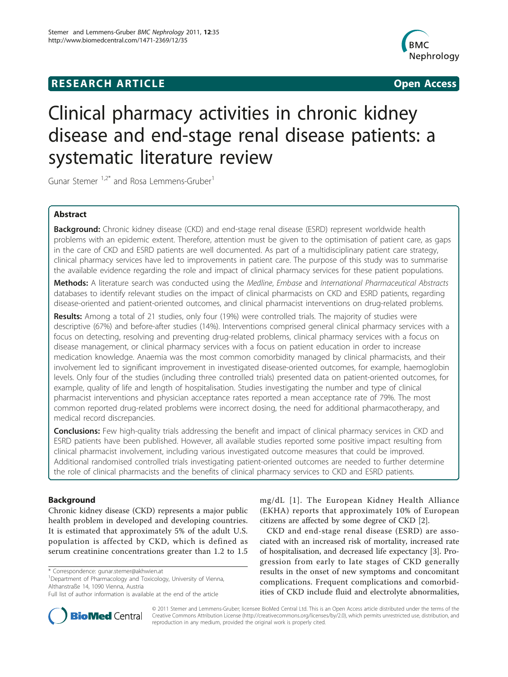# **RESEARCH ARTICLE Example 2014 CONSUMING ACCESS**



# Clinical pharmacy activities in chronic kidney disease and end-stage renal disease patients: a systematic literature review

Gunar Stemer <sup>1,2\*</sup> and Rosa Lemmens-Gruber<sup>1</sup>

# Abstract

**Background:** Chronic kidney disease (CKD) and end-stage renal disease (ESRD) represent worldwide health problems with an epidemic extent. Therefore, attention must be given to the optimisation of patient care, as gaps in the care of CKD and ESRD patients are well documented. As part of a multidisciplinary patient care strategy, clinical pharmacy services have led to improvements in patient care. The purpose of this study was to summarise the available evidence regarding the role and impact of clinical pharmacy services for these patient populations.

Methods: A literature search was conducted using the Medline, Embase and International Pharmaceutical Abstracts databases to identify relevant studies on the impact of clinical pharmacists on CKD and ESRD patients, regarding disease-oriented and patient-oriented outcomes, and clinical pharmacist interventions on drug-related problems.

Results: Among a total of 21 studies, only four (19%) were controlled trials. The majority of studies were descriptive (67%) and before-after studies (14%). Interventions comprised general clinical pharmacy services with a focus on detecting, resolving and preventing drug-related problems, clinical pharmacy services with a focus on disease management, or clinical pharmacy services with a focus on patient education in order to increase medication knowledge. Anaemia was the most common comorbidity managed by clinical pharmacists, and their involvement led to significant improvement in investigated disease-oriented outcomes, for example, haemoglobin levels. Only four of the studies (including three controlled trials) presented data on patient-oriented outcomes, for example, quality of life and length of hospitalisation. Studies investigating the number and type of clinical pharmacist interventions and physician acceptance rates reported a mean acceptance rate of 79%. The most common reported drug-related problems were incorrect dosing, the need for additional pharmacotherapy, and medical record discrepancies.

Conclusions: Few high-quality trials addressing the benefit and impact of clinical pharmacy services in CKD and ESRD patients have been published. However, all available studies reported some positive impact resulting from clinical pharmacist involvement, including various investigated outcome measures that could be improved. Additional randomised controlled trials investigating patient-oriented outcomes are needed to further determine the role of clinical pharmacists and the benefits of clinical pharmacy services to CKD and ESRD patients.

# Background

Chronic kidney disease (CKD) represents a major public health problem in developed and developing countries. It is estimated that approximately 5% of the adult U.S. population is affected by CKD, which is defined as serum creatinine concentrations greater than 1.2 to 1.5

\* Correspondence: [gunar.stemer@akhwien.at](mailto:gunar.stemer@akhwien.at)

<sup>1</sup>Department of Pharmacology and Toxicology, University of Vienna, Althanstraße 14, 1090 Vienna, Austria



CKD and end-stage renal disease (ESRD) are associated with an increased risk of mortality, increased rate of hospitalisation, and decreased life expectancy [\[3](#page-10-0)]. Progression from early to late stages of CKD generally results in the onset of new symptoms and concomitant complications. Frequent complications and comorbidities of CKD include fluid and electrolyte abnormalities,



© 2011 Stemer and Lemmens-Gruber; licensee BioMed Central Ltd. This is an Open Access article distributed under the terms of the Creative Commons Attribution License (<http://creativecommons.org/licenses/by/2.0>), which permits unrestricted use, distribution, and reproduction in any medium, provided the original work is properly cited.

Full list of author information is available at the end of the article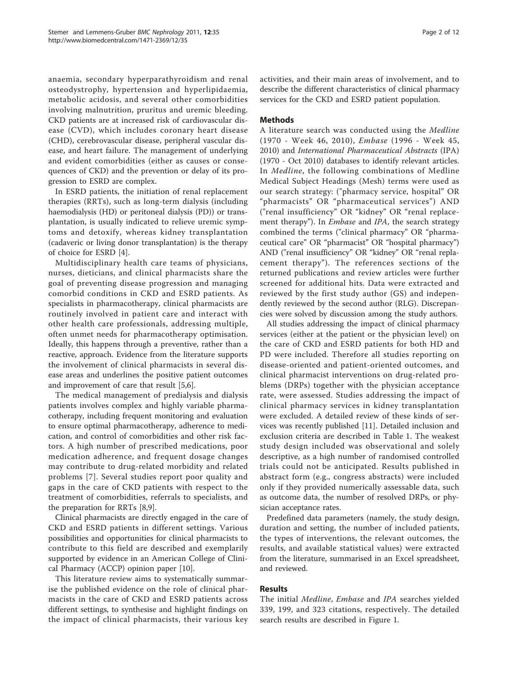anaemia, secondary hyperparathyroidism and renal osteodystrophy, hypertension and hyperlipidaemia, metabolic acidosis, and several other comorbidities involving malnutrition, pruritus and uremic bleeding. CKD patients are at increased risk of cardiovascular disease (CVD), which includes coronary heart disease (CHD), cerebrovascular disease, peripheral vascular disease, and heart failure. The management of underlying and evident comorbidities (either as causes or consequences of CKD) and the prevention or delay of its progression to ESRD are complex.

In ESRD patients, the initiation of renal replacement therapies (RRTs), such as long-term dialysis (including haemodialysis (HD) or peritoneal dialysis (PD)) or transplantation, is usually indicated to relieve uremic symptoms and detoxify, whereas kidney transplantation (cadaveric or living donor transplantation) is the therapy of choice for ESRD [\[4\]](#page-10-0).

Multidisciplinary health care teams of physicians, nurses, dieticians, and clinical pharmacists share the goal of preventing disease progression and managing comorbid conditions in CKD and ESRD patients. As specialists in pharmacotherapy, clinical pharmacists are routinely involved in patient care and interact with other health care professionals, addressing multiple, often unmet needs for pharmacotherapy optimisation. Ideally, this happens through a preventive, rather than a reactive, approach. Evidence from the literature supports the involvement of clinical pharmacists in several disease areas and underlines the positive patient outcomes and improvement of care that result [\[5,6](#page-10-0)].

The medical management of predialysis and dialysis patients involves complex and highly variable pharmacotherapy, including frequent monitoring and evaluation to ensure optimal pharmacotherapy, adherence to medication, and control of comorbidities and other risk factors. A high number of prescribed medications, poor medication adherence, and frequent dosage changes may contribute to drug-related morbidity and related problems [[7](#page-10-0)]. Several studies report poor quality and gaps in the care of CKD patients with respect to the treatment of comorbidities, referrals to specialists, and the preparation for RRTs [[8](#page-10-0),[9](#page-10-0)].

Clinical pharmacists are directly engaged in the care of CKD and ESRD patients in different settings. Various possibilities and opportunities for clinical pharmacists to contribute to this field are described and exemplarily supported by evidence in an American College of Clinical Pharmacy (ACCP) opinion paper [\[10](#page-10-0)].

This literature review aims to systematically summarise the published evidence on the role of clinical pharmacists in the care of CKD and ESRD patients across different settings, to synthesise and highlight findings on the impact of clinical pharmacists, their various key activities, and their main areas of involvement, and to describe the different characteristics of clinical pharmacy services for the CKD and ESRD patient population.

## Methods

A literature search was conducted using the Medline (1970 - Week 46, 2010), Embase (1996 - Week 45, 2010) and International Pharmaceutical Abstracts (IPA) (1970 - Oct 2010) databases to identify relevant articles. In Medline, the following combinations of Medline Medical Subject Headings (Mesh) terms were used as our search strategy: ("pharmacy service, hospital" OR "pharmacists" OR "pharmaceutical services") AND ("renal insufficiency" OR "kidney" OR "renal replacement therapy"). In *Embase* and *IPA*, the search strategy combined the terms ("clinical pharmacy" OR "pharmaceutical care" OR "pharmacist" OR "hospital pharmacy") AND ("renal insufficiency" OR "kidney" OR "renal replacement therapy"). The references sections of the returned publications and review articles were further screened for additional hits. Data were extracted and reviewed by the first study author (GS) and independently reviewed by the second author (RLG). Discrepancies were solved by discussion among the study authors.

All studies addressing the impact of clinical pharmacy services (either at the patient or the physician level) on the care of CKD and ESRD patients for both HD and PD were included. Therefore all studies reporting on disease-oriented and patient-oriented outcomes, and clinical pharmacist interventions on drug-related problems (DRPs) together with the physician acceptance rate, were assessed. Studies addressing the impact of clinical pharmacy services in kidney transplantation were excluded. A detailed review of these kinds of services was recently published [[11](#page-10-0)]. Detailed inclusion and exclusion criteria are described in Table [1](#page-2-0). The weakest study design included was observational and solely descriptive, as a high number of randomised controlled trials could not be anticipated. Results published in abstract form (e.g., congress abstracts) were included only if they provided numerically assessable data, such as outcome data, the number of resolved DRPs, or physician acceptance rates.

Predefined data parameters (namely, the study design, duration and setting, the number of included patients, the types of interventions, the relevant outcomes, the results, and available statistical values) were extracted from the literature, summarised in an Excel spreadsheet, and reviewed.

## Results

The initial Medline, Embase and IPA searches yielded 339, 199, and 323 citations, respectively. The detailed search results are described in Figure [1](#page-2-0).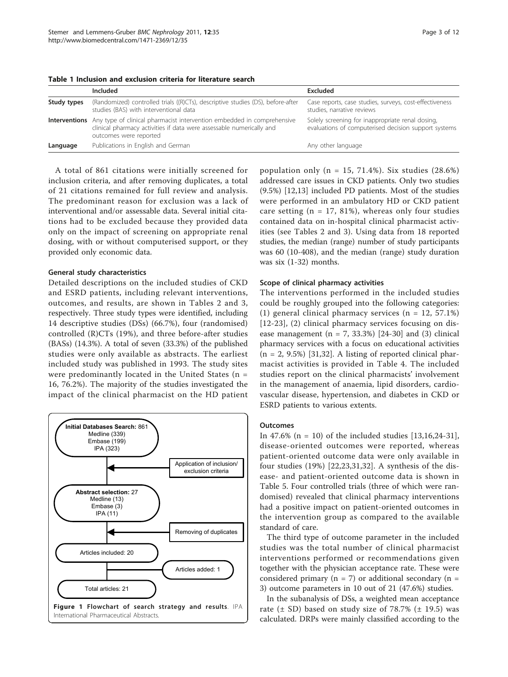|             | Included                                                                                                                                                                                      | Excluded                                                                                                 |
|-------------|-----------------------------------------------------------------------------------------------------------------------------------------------------------------------------------------------|----------------------------------------------------------------------------------------------------------|
| Study types | (Randomized) controlled trials ((R)CTs), descriptive studies (DS), before-after<br>studies (BAS) with interventional data                                                                     | Case reports, case studies, surveys, cost-effectiveness<br>studies, narrative reviews                    |
|             | <b>Interventions</b> Any type of clinical pharmacist intervention embedded in comprehensive<br>clinical pharmacy activities if data were assessable numerically and<br>outcomes were reported | Solely screening for inappropriate renal dosing,<br>evaluations of computerised decision support systems |
| Language    | Publications in English and German                                                                                                                                                            | Any other language                                                                                       |

<span id="page-2-0"></span>Table 1 Inclusion and exclusion criteria for literature search

A total of 861 citations were initially screened for inclusion criteria, and after removing duplicates, a total of 21 citations remained for full review and analysis. The predominant reason for exclusion was a lack of interventional and/or assessable data. Several initial citations had to be excluded because they provided data only on the impact of screening on appropriate renal dosing, with or without computerised support, or they provided only economic data.

## General study characteristics

Detailed descriptions on the included studies of CKD and ESRD patients, including relevant interventions, outcomes, and results, are shown in Tables [2](#page-3-0) and [3](#page-4-0), respectively. Three study types were identified, including 14 descriptive studies (DSs) (66.7%), four (randomised) controlled (R)CTs (19%), and three before-after studies (BASs) (14.3%). A total of seven (33.3%) of the published studies were only available as abstracts. The earliest included study was published in 1993. The study sites were predominantly located in the United States ( $n =$ 16, 76.2%). The majority of the studies investigated the impact of the clinical pharmacist on the HD patient



population only ( $n = 15, 71.4\%$ ). Six studies (28.6%) addressed care issues in CKD patients. Only two studies (9.5%) [[12,13\]](#page-10-0) included PD patients. Most of the studies were performed in an ambulatory HD or CKD patient care setting ( $n = 17, 81\%$ ), whereas only four studies contained data on in-hospital clinical pharmacist activities (see Tables [2](#page-3-0) and [3](#page-4-0)). Using data from 18 reported studies, the median (range) number of study participants was 60 (10-408), and the median (range) study duration was six (1-32) months.

## Scope of clinical pharmacy activities

The interventions performed in the included studies could be roughly grouped into the following categories: (1) general clinical pharmacy services  $(n = 12, 57.1\%)$ [[12](#page-10-0)-[23\]](#page-10-0), (2) clinical pharmacy services focusing on disease management ( $n = 7$ , 33.3%) [[24](#page-10-0)-[30\]](#page-11-0) and (3) clinical pharmacy services with a focus on educational activities  $(n = 2, 9.5\%)$  [[31,32\]](#page-11-0). A listing of reported clinical pharmacist activities is provided in Table [4](#page-8-0). The included studies report on the clinical pharmacists' involvement in the management of anaemia, lipid disorders, cardiovascular disease, hypertension, and diabetes in CKD or ESRD patients to various extents.

## **Outcomes**

In 47.6% (n = 10) of the included studies [[13,16](#page-10-0),[24-](#page-10-0)[31](#page-11-0)], disease-oriented outcomes were reported, whereas patient-oriented outcome data were only available in four studies (19%) [[22,23](#page-10-0)[,31](#page-11-0),[32\]](#page-11-0). A synthesis of the disease- and patient-oriented outcome data is shown in Table [5.](#page-8-0) Four controlled trials (three of which were randomised) revealed that clinical pharmacy interventions had a positive impact on patient-oriented outcomes in the intervention group as compared to the available standard of care.

The third type of outcome parameter in the included studies was the total number of clinical pharmacist interventions performed or recommendations given together with the physician acceptance rate. These were considered primary ( $n = 7$ ) or additional secondary ( $n =$ 3) outcome parameters in 10 out of 21 (47.6%) studies.

In the subanalysis of DSs, a weighted mean acceptance rate  $(\pm$  SD) based on study size of 78.7%  $(\pm$  19.5) was calculated. DRPs were mainly classified according to the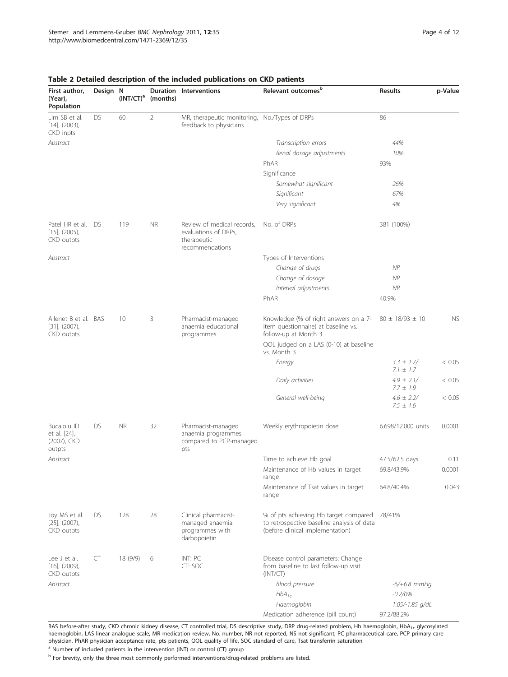| First author,<br>(Year),<br>Population                    | Design N | $(INT/CT)^a$    | (months)  | <b>Duration Interventions</b>                                                        | Relevant outcomes <sup>p</sup>                                                                                          | <b>Results</b>                  | p-Value   |
|-----------------------------------------------------------|----------|-----------------|-----------|--------------------------------------------------------------------------------------|-------------------------------------------------------------------------------------------------------------------------|---------------------------------|-----------|
| Lim SB et al.<br>$[14]$ , $(2003)$ ,<br>CKD inpts         | DS.      | 60              | 2         | MR, therapeutic monitoring, No./Types of DRPs<br>feedback to physicians              |                                                                                                                         | 86                              |           |
| Abstract                                                  |          |                 |           |                                                                                      | Transcription errors                                                                                                    | 44%                             |           |
|                                                           |          |                 |           |                                                                                      | Renal dosage adjustments                                                                                                | 10%                             |           |
|                                                           |          |                 |           |                                                                                      | PhAR                                                                                                                    | 93%                             |           |
|                                                           |          |                 |           |                                                                                      | Significance                                                                                                            |                                 |           |
|                                                           |          |                 |           |                                                                                      | Somewhat significant                                                                                                    | 26%                             |           |
|                                                           |          |                 |           |                                                                                      | Significant                                                                                                             | 67%                             |           |
|                                                           |          |                 |           |                                                                                      | Very significant                                                                                                        | 4%                              |           |
| Patel HR et al.<br>$[15]$ , $(2005)$ ,<br>CKD outpts      | DS       | 119             | <b>NR</b> | Review of medical records,<br>evaluations of DRPs,<br>therapeutic<br>recommendations | No. of DRPs                                                                                                             | 381 (100%)                      |           |
| Abstract                                                  |          |                 |           |                                                                                      | Types of Interventions                                                                                                  |                                 |           |
|                                                           |          |                 |           |                                                                                      | Change of drugs                                                                                                         | NR                              |           |
|                                                           |          |                 |           |                                                                                      | Change of dosage                                                                                                        | NR                              |           |
|                                                           |          |                 |           |                                                                                      | Interval adjustments                                                                                                    | NR                              |           |
|                                                           |          |                 |           |                                                                                      | PhAR                                                                                                                    | 40.9%                           |           |
| Allenet B et al. BAS<br>$[31]$ , $(2007)$ ,<br>CKD outpts |          | 10 <sup>°</sup> | 3         | Pharmacist-managed<br>anaemia educational<br>programmes                              | Knowledge (% of right answers on a 7-<br>item questionnaire) at baseline vs.<br>follow-up at Month 3                    | $80 \pm 18/93 \pm 10$           | <b>NS</b> |
|                                                           |          |                 |           |                                                                                      | QOL judged on a LAS (0-10) at baseline<br>vs. Month 3                                                                   |                                 |           |
|                                                           |          |                 |           |                                                                                      | Energy                                                                                                                  | $3.3 \pm 1.7/$<br>$7.1 \pm 1.7$ | < 0.05    |
|                                                           |          |                 |           |                                                                                      | Daily activities                                                                                                        | $4.9 \pm 2.1/$<br>$7.7 \pm 1.9$ | < 0.05    |
|                                                           |          |                 |           |                                                                                      | General well-being                                                                                                      | $4.6 \pm 2.2/$<br>$7.5 \pm 1.6$ | < 0.05    |
| Bucaloiu ID<br>et al. [24],<br>(2007), CKD<br>outpts      | DS       | <b>NR</b>       | 32        | Pharmacist-managed<br>anaemia programmes<br>compared to PCP-managed<br>pts           | Weekly erythropoietin dose                                                                                              | 6.698/12.000 units              | 0.0001    |
| Abstract                                                  |          |                 |           |                                                                                      | Time to achieve Hb goal                                                                                                 | 47.5/62.5 days                  | 0.11      |
|                                                           |          |                 |           |                                                                                      | Maintenance of Hb values in target<br>range                                                                             | 69.8/43.9%                      | 0.0001    |
|                                                           |          |                 |           |                                                                                      | Maintenance of Tsat values in target<br>range                                                                           | 64.8/40.4%                      | 0.043     |
| Joy MS et al.<br>$[25]$ , $(2007)$ ,<br>CKD outpts        | DS.      | 128             | 28        | Clinical pharmacist-<br>managed anaemia<br>programmes with<br>darbopoietin           | % of pts achieving Hb target compared<br>to retrospective baseline analysis of data<br>(before clinical implementation) | 78/41%                          |           |
| Lee J et al.<br>$[16]$ , $(2009)$ ,<br>CKD outpts         | CT       | 18(9/9)         | 6         | INT: PC<br>CT: SOC                                                                   | Disease control parameters: Change<br>from baseline to last follow-up visit<br>(INT/CT)                                 |                                 |           |
| Abstract                                                  |          |                 |           |                                                                                      | <b>Blood pressure</b>                                                                                                   | $-6/ + 6.8$ mmHq                |           |
|                                                           |          |                 |           |                                                                                      | $HbA_{1c}$                                                                                                              | $-0.2/0%$                       |           |
|                                                           |          |                 |           |                                                                                      | Haemoglobin                                                                                                             | 1.05/-1.85 g/dL                 |           |
|                                                           |          |                 |           |                                                                                      | Medication adherence (pill count)                                                                                       | 97.2/88.2%                      |           |

## <span id="page-3-0"></span>Table 2 Detailed description of the included publications on CKD patients

BAS before-after study, CKD chronic kidney disease, CT controlled trial, DS descriptive study, DRP drug-related problem, Hb haemoglobin, HbA<sub>1c</sub> glycosylated haemoglobin, LAS linear analogue scale, MR medication review, No. number, NR not reported, NS not significant, PC pharmaceutical care, PCP primary care physician, PhAR physician acceptance rate, pts patients, QOL quality of life, SOC standard of care, Tsat transferrin saturation <sup>a</sup> Number of included patients in the intervention (INT) or control (CT) group

 $<sup>b</sup>$  For brevity, only the three most commonly performed interventions/drug-related problems are listed.</sup>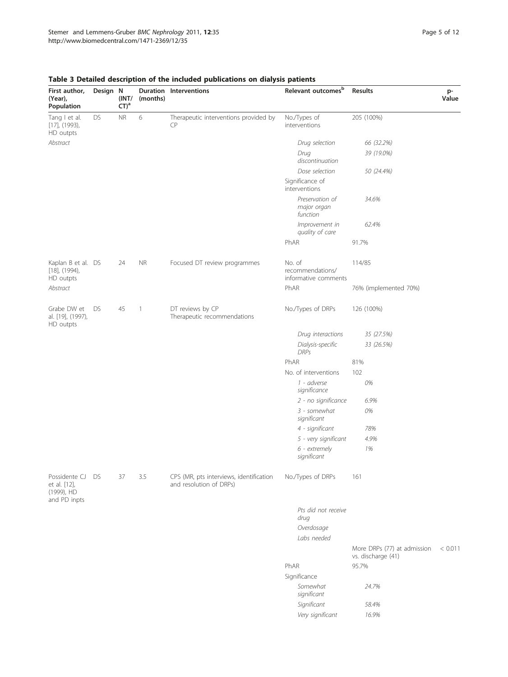| First author,<br>(Year),<br>Population                      | Design N  | (INT/<br>$CT)^a$ | (months)     | <b>Duration Interventions</b>                                      | Relevant outcomes <sup>b</sup>                     | <b>Results</b>                                    | p-<br>Value |
|-------------------------------------------------------------|-----------|------------------|--------------|--------------------------------------------------------------------|----------------------------------------------------|---------------------------------------------------|-------------|
| Tang I et al.<br>$[17]$ , (1993),<br>HD outpts              | <b>DS</b> | <b>NR</b>        | 6            | Therapeutic interventions provided by<br><b>CP</b>                 | No./Types of<br>interventions                      | 205 (100%)                                        |             |
| Abstract                                                    |           |                  |              |                                                                    | Drug selection                                     | 66 (32.2%)                                        |             |
|                                                             |           |                  |              |                                                                    | Drug<br>discontinuation                            | 39 (19.0%)                                        |             |
|                                                             |           |                  |              |                                                                    | Dose selection                                     | 50 (24.4%)                                        |             |
|                                                             |           |                  |              |                                                                    | Significance of<br>interventions                   |                                                   |             |
|                                                             |           |                  |              |                                                                    | Preservation of<br>major organ<br>function         | 34.6%                                             |             |
|                                                             |           |                  |              |                                                                    | Improvement in<br>quality of care                  | 62.4%                                             |             |
|                                                             |           |                  |              |                                                                    | PhAR                                               | 91.7%                                             |             |
| Kaplan B et al. DS<br>$[18]$ , $(1994)$ ,<br>HD outpts      |           | 24               | <b>NR</b>    | Focused DT review programmes                                       | No. of<br>recommendations/<br>informative comments | 114/85                                            |             |
| Abstract                                                    |           |                  |              |                                                                    | PhAR                                               | 76% (implemented 70%)                             |             |
| Grabe DW et<br>al. [19], (1997),<br>HD outpts               | DS.       | 45               | $\mathbf{1}$ | DT reviews by CP<br>Therapeutic recommendations                    | No./Types of DRPs                                  | 126 (100%)                                        |             |
|                                                             |           |                  |              |                                                                    | Drug interactions                                  | 35 (27.5%)                                        |             |
|                                                             |           |                  |              |                                                                    | Dialysis-specific<br><b>DRPs</b>                   | 33 (26.5%)                                        |             |
|                                                             |           |                  |              |                                                                    | PhAR                                               | 81%                                               |             |
|                                                             |           |                  |              |                                                                    | No. of interventions                               | 102                                               |             |
|                                                             |           |                  |              |                                                                    | 1 - adverse<br>significance                        | 0%                                                |             |
|                                                             |           |                  |              |                                                                    | 2 - no significance                                | 6.9%                                              |             |
|                                                             |           |                  |              |                                                                    | 3 - somewhat<br>significant                        | 0%                                                |             |
|                                                             |           |                  |              |                                                                    | 4 - significant                                    | 78%                                               |             |
|                                                             |           |                  |              |                                                                    | 5 - very significant                               | 4.9%                                              |             |
|                                                             |           |                  |              |                                                                    | 6 - extremely<br>significant                       | 1%                                                |             |
| Possidente CJ<br>et al. [12],<br>(1999), HD<br>and PD inpts | <b>DS</b> | 37               | 3.5          | CPS (MR, pts interviews, identification<br>and resolution of DRPs) | No./Types of DRPs                                  | 161                                               |             |
|                                                             |           |                  |              |                                                                    | Pts did not receive                                |                                                   |             |
|                                                             |           |                  |              |                                                                    | drug                                               |                                                   |             |
|                                                             |           |                  |              |                                                                    | Overdosage                                         |                                                   |             |
|                                                             |           |                  |              |                                                                    | Labs needed                                        |                                                   |             |
|                                                             |           |                  |              |                                                                    |                                                    | More DRPs (77) at admission<br>vs. discharge (41) | < 0.011     |
|                                                             |           |                  |              |                                                                    | PhAR                                               | 95.7%                                             |             |
|                                                             |           |                  |              |                                                                    | Significance                                       |                                                   |             |
|                                                             |           |                  |              |                                                                    | Somewhat<br>significant                            | 24.7%                                             |             |
|                                                             |           |                  |              |                                                                    | Significant                                        | 58.4%                                             |             |
|                                                             |           |                  |              |                                                                    | Very significant                                   | 16.9%                                             |             |
|                                                             |           |                  |              |                                                                    |                                                    |                                                   |             |

# <span id="page-4-0"></span>Table 3 Detailed description of the included publications on dialysis patients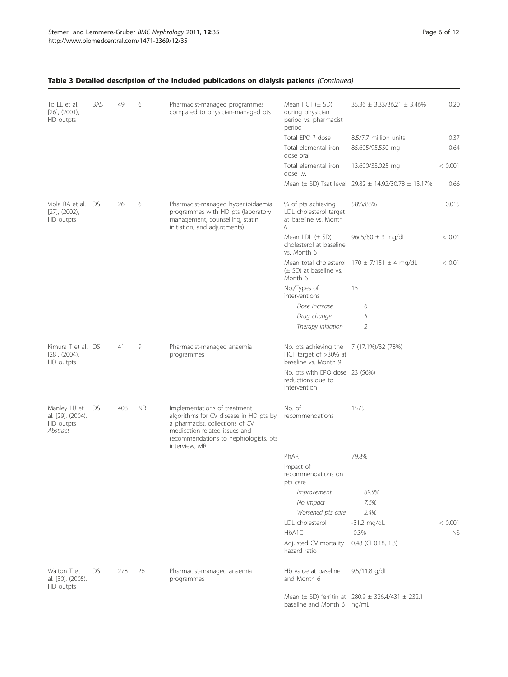| To LL et al.<br>$[26]$ , $(2001)$ ,<br>HD outpts           | <b>BAS</b> | 49  | 6         | Pharmacist-managed programmes<br>compared to physician-managed pts                                                                                                                                   | Mean HCT $(\pm$ SD)<br>during physician<br>period vs. pharmacist<br>period | $35.36 \pm 3.33/36.21 \pm 3.46\%$                                | 0.20      |
|------------------------------------------------------------|------------|-----|-----------|------------------------------------------------------------------------------------------------------------------------------------------------------------------------------------------------------|----------------------------------------------------------------------------|------------------------------------------------------------------|-----------|
|                                                            |            |     |           |                                                                                                                                                                                                      | Total EPO ? dose                                                           | 8.5/7.7 million units                                            | 0.37      |
|                                                            |            |     |           |                                                                                                                                                                                                      | Total elemental iron<br>dose oral                                          | 85.605/95.550 mg                                                 | 0.64      |
|                                                            |            |     |           |                                                                                                                                                                                                      | Total elemental iron<br>dose i.v.                                          | 13.600/33.025 mg                                                 | < 0.001   |
|                                                            |            |     |           |                                                                                                                                                                                                      |                                                                            | Mean ( $\pm$ SD) Tsat level 29.82 $\pm$ 14.92/30.78 $\pm$ 13.17% | 0.66      |
| Viola RA et al. DS<br>$[27]$ , $(2002)$ ,<br>HD outpts     |            | 26  | 6         | Pharmacist-managed hyperlipidaemia<br>programmes with HD pts (laboratory<br>management, counselling, statin<br>initiation, and adjustments)                                                          | % of pts achieving<br>LDL cholesterol target<br>at baseline vs. Month<br>6 | 58%/88%                                                          | 0.015     |
|                                                            |            |     |           |                                                                                                                                                                                                      | Mean LDL $(\pm$ SD)<br>cholesterol at baseline<br>vs. Month 6              | $96c5/80 \pm 3$ mg/dL                                            | < 0.01    |
|                                                            |            |     |           |                                                                                                                                                                                                      | $(\pm$ SD) at baseline vs.<br>Month 6                                      | Mean total cholesterol $170 \pm 7/151 \pm 4$ mg/dL               | < 0.01    |
|                                                            |            |     |           |                                                                                                                                                                                                      | No./Types of<br>interventions                                              | 15                                                               |           |
|                                                            |            |     |           |                                                                                                                                                                                                      | Dose increase                                                              | 6                                                                |           |
|                                                            |            |     |           |                                                                                                                                                                                                      | Drug change                                                                | 5                                                                |           |
|                                                            |            |     |           |                                                                                                                                                                                                      | Therapy initiation                                                         | $\overline{2}$                                                   |           |
| Kimura T et al. DS<br>$[28]$ , $(2004)$ ,<br>HD outpts     |            | 41  | 9         | Pharmacist-managed anaemia<br>programmes                                                                                                                                                             | No. pts achieving the<br>HCT target of >30% at<br>baseline vs. Month 9     | 7 (17.1%)/32 (78%)                                               |           |
|                                                            |            |     |           |                                                                                                                                                                                                      | No. pts with EPO dose 23 (56%)<br>reductions due to<br>intervention        |                                                                  |           |
| Manley HJ et<br>al. [29], (2004),<br>HD outpts<br>Abstract | DS         | 408 | <b>NR</b> | Implementations of treatment<br>algorithms for CV disease in HD pts by<br>a pharmacist, collections of CV<br>medication-related issues and<br>recommendations to nephrologists, pts<br>interview, MR | No. of<br>recommendations                                                  | 1575                                                             |           |
|                                                            |            |     |           |                                                                                                                                                                                                      | PhAR                                                                       | 79.8%                                                            |           |
|                                                            |            |     |           |                                                                                                                                                                                                      | Impact of<br>recommendations on<br>pts care                                |                                                                  |           |
|                                                            |            |     |           |                                                                                                                                                                                                      | Improvement                                                                | 89.9%                                                            |           |
|                                                            |            |     |           |                                                                                                                                                                                                      | No impact                                                                  | 7.6%                                                             |           |
|                                                            |            |     |           |                                                                                                                                                                                                      | Worsened pts care                                                          | 2.4%                                                             |           |
|                                                            |            |     |           |                                                                                                                                                                                                      | LDL cholesterol                                                            | $-31.2$ mg/dL                                                    | < 0.001   |
|                                                            |            |     |           |                                                                                                                                                                                                      | HbA1C                                                                      | $-0.3%$                                                          | <b>NS</b> |
|                                                            |            |     |           |                                                                                                                                                                                                      | Adjusted CV mortality<br>hazard ratio                                      | $0.48$ (CI 0.18, 1.3)                                            |           |
| Walton T et<br>al. [30], (2005),<br>HD outpts              | DS.        | 278 | 26        | Pharmacist-managed anaemia<br>programmes                                                                                                                                                             | Hb value at baseline<br>and Month 6                                        | 9.5/11.8 g/dL                                                    |           |
|                                                            |            |     |           |                                                                                                                                                                                                      | baseline and Month 6 ng/mL                                                 | Mean ( $\pm$ SD) ferritin at 280.9 $\pm$ 326.4/431 $\pm$ 232.1   |           |

# Table 3 Detailed description of the included publications on dialysis patients (Continued)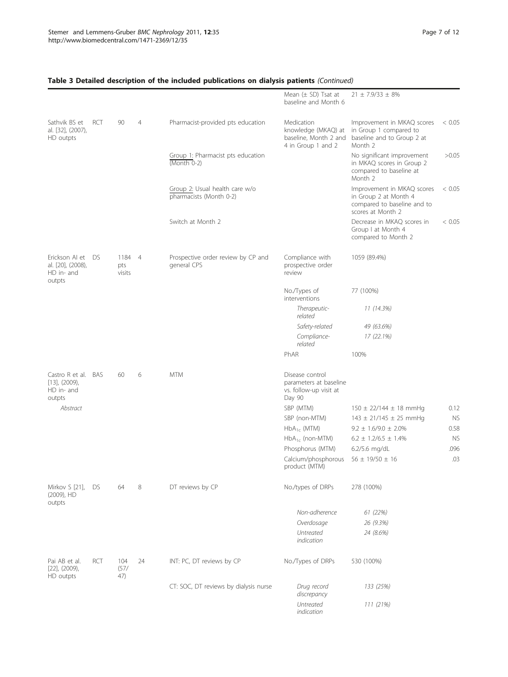|                                                                |     |                         |                |                                                           | Mean $(\pm$ SD) Tsat at<br>baseline and Month 6                                  | $21 \pm 7.9/33 \pm 8\%$                                                                                 |                   |
|----------------------------------------------------------------|-----|-------------------------|----------------|-----------------------------------------------------------|----------------------------------------------------------------------------------|---------------------------------------------------------------------------------------------------------|-------------------|
| Sathvik BS et<br>al. [32], (2007),<br>HD outpts                | RCT | 90                      | $\overline{4}$ | Pharmacist-provided pts education                         | Medication<br>knowledge (MKAQ) at<br>baseline, Month 2 and<br>4 in Group 1 and 2 | Improvement in MKAQ scores<br>in Group 1 compared to<br>baseline and to Group 2 at<br>Month 2           | < 0.05            |
|                                                                |     |                         |                | Group 1: Pharmacist pts education<br>$(Month 0-2)$        |                                                                                  | No significant improvement<br>in MKAQ scores in Group 2<br>compared to baseline at<br>Month 2           | >0.05             |
|                                                                |     |                         |                | Group 2: Usual health care w/o<br>pharmacists (Month 0-2) |                                                                                  | Improvement in MKAQ scores<br>in Group 2 at Month 4<br>compared to baseline and to<br>scores at Month 2 | < 0.05            |
|                                                                |     |                         |                | Switch at Month 2                                         |                                                                                  | Decrease in MKAQ scores in<br>Group I at Month 4<br>compared to Month 2                                 | < 0.05            |
| Erickson AI et<br>al. [20], (2008),<br>HD in- and<br>outpts    | DS  | 1184 4<br>pts<br>visits |                | Prospective order review by CP and<br>general CPS         | Compliance with<br>prospective order<br>review                                   | 1059 (89.4%)                                                                                            |                   |
|                                                                |     |                         |                |                                                           | No./Types of<br>interventions                                                    | 77 (100%)                                                                                               |                   |
|                                                                |     |                         |                |                                                           | Therapeutic-<br>related                                                          | 11 (14.3%)                                                                                              |                   |
|                                                                |     |                         |                |                                                           | Safety-related                                                                   | 49 (63.6%)                                                                                              |                   |
|                                                                |     |                         |                |                                                           | Compliance-<br>related                                                           | 17 (22.1%)                                                                                              |                   |
|                                                                |     |                         |                |                                                           | PhAR                                                                             | 100%                                                                                                    |                   |
| Castro R et al.<br>$[13]$ , $(2009)$ ,<br>HD in- and<br>outpts | BAS | 60                      | 6              | <b>MTM</b>                                                | Disease control<br>parameters at baseline<br>vs. follow-up visit at<br>Day 90    |                                                                                                         |                   |
| Abstract                                                       |     |                         |                |                                                           | SBP (MTM)                                                                        | $150 \pm 22/144 \pm 18$ mmHq                                                                            | 0.12              |
|                                                                |     |                         |                |                                                           | SBP (non-MTM)                                                                    | 143 ± 21/145 ± 25 mmHg                                                                                  | <b>NS</b>         |
|                                                                |     |                         |                |                                                           | $HbA_{1c}$ (MTM)<br>$HbA_{1c}$ (non-MTM)                                         | $9.2 \pm 1.6/9.0 \pm 2.0\%$<br>$6.2 \pm 1.2/6.5 \pm 1.4\%$                                              | 0.58<br><b>NS</b> |
|                                                                |     |                         |                |                                                           | Phosphorus (MTM)                                                                 | 6.2/5.6 mg/dL                                                                                           | .096              |
|                                                                |     |                         |                |                                                           | Calcium/phosphorous<br>product (MTM)                                             | $56 \pm 19/50 \pm 16$                                                                                   | .03               |
| Mirkov S [21],<br>(2009), HD<br>outpts                         | DS. | 64                      | 8              | DT reviews by CP                                          | No./types of DRPs                                                                | 278 (100%)                                                                                              |                   |
|                                                                |     |                         |                |                                                           | Non-adherence                                                                    | 61 (22%)                                                                                                |                   |
|                                                                |     |                         |                |                                                           | Overdosage                                                                       | 26 (9.3%)                                                                                               |                   |
|                                                                |     |                         |                |                                                           | Untreated<br>indication                                                          | 24 (8.6%)                                                                                               |                   |
| Pai AB et al.<br>$[22]$ , $(2009)$ ,<br>HD outpts              | RCT | 104<br>(57/<br>47)      | 24             | INT: PC, DT reviews by CP                                 | No./Types of DRPs                                                                | 530 (100%)                                                                                              |                   |
|                                                                |     |                         |                | CT: SOC, DT reviews by dialysis nurse                     | Drug record<br>discrepancy                                                       | 133 (25%)                                                                                               |                   |
|                                                                |     |                         |                |                                                           | Untreated<br>indication                                                          | 111 (21%)                                                                                               |                   |

# Table 3 Detailed description of the included publications on dialysis patients (Continued)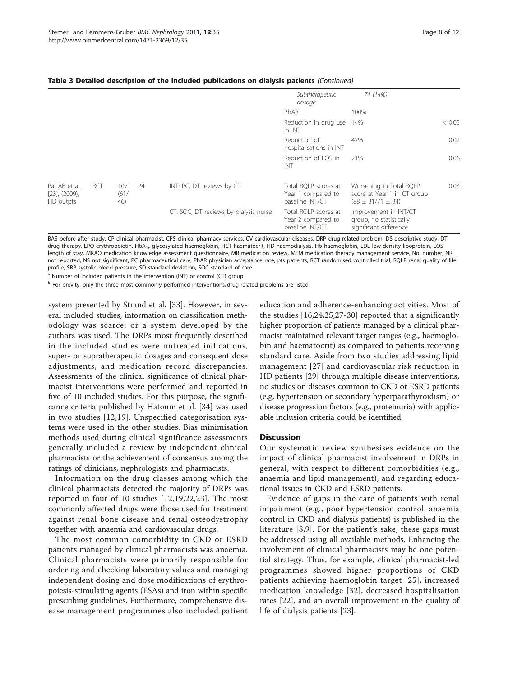|                                                   |            |                    |    |                                       | Subtherapeutic<br>dosage                                      | 74 (14%)                                                                          |        |
|---------------------------------------------------|------------|--------------------|----|---------------------------------------|---------------------------------------------------------------|-----------------------------------------------------------------------------------|--------|
|                                                   |            |                    |    |                                       | PhAR                                                          | 100%                                                                              |        |
|                                                   |            |                    |    |                                       | Reduction in drug use<br>in INT                               | 14%                                                                               | < 0.05 |
|                                                   |            |                    |    |                                       | Reduction of<br>hospitalisations in INT                       | 42%                                                                               | 0.02   |
|                                                   |            |                    |    |                                       | Reduction of LOS in<br>INT                                    | 21%                                                                               | 0.06   |
| Pai AB et al.<br>$[23]$ , $(2009)$ ,<br>HD outpts | <b>RCT</b> | 107<br>(61/<br>46) | 24 | INT: PC, DT reviews by CP             | Total RQLP scores at<br>Year 1 compared to<br>baseline INT/CT | Worsening in Total RQLP<br>score at Year 1 in CT group<br>$(88 \pm 31/71 \pm 34)$ | 0.03   |
|                                                   |            |                    |    | CT: SOC, DT reviews by dialysis nurse | Total RQLP scores at<br>Year 2 compared to<br>baseline INT/CT | Improvement in INT/CT<br>group, no statistically<br>significant difference        |        |

#### Table 3 Detailed description of the included publications on dialysis patients (Continued)

BAS before-after study, CP clinical pharmacist, CPS clinical pharmacy services, CV cardiovascular diseases, DRP drug-related problem, DS descriptive study, DT drug therapy, EPO erythropoietin, HbA<sub>1c</sub> glycosylated haemoglobin, HCT haematocrit, HD haemodialysis, Hb haemoglobin, LDL low-density lipoprotein, LOS length of stay, MKAQ medication knowledge assessment questionnaire, MR medication review, MTM medication therapy management service, No. number, NR not reported, NS not significant, PC pharmaceutical care, PhAR physician acceptance rate, pts patients, RCT randomised controlled trial, RQLP renal quality of life profile, SBP systolic blood pressure, SD standard deviation, SOC standard of care

 $a<sup>a</sup>$  Number of included patients in the intervention (INT) or control (CT) group

<sup>b</sup> For brevity, only the three most commonly performed interventions/drug-related problems are listed.

system presented by Strand et al. [[33\]](#page-11-0). However, in several included studies, information on classification methodology was scarce, or a system developed by the authors was used. The DRPs most frequently described in the included studies were untreated indications, super- or supratherapeutic dosages and consequent dose adjustments, and medication record discrepancies. Assessments of the clinical significance of clinical pharmacist interventions were performed and reported in five of 10 included studies. For this purpose, the significance criteria published by Hatoum et al. [[34\]](#page-11-0) was used in two studies [[12,19\]](#page-10-0). Unspecified categorisation systems were used in the other studies. Bias minimisation methods used during clinical significance assessments generally included a review by independent clinical pharmacists or the achievement of consensus among the ratings of clinicians, nephrologists and pharmacists.

Information on the drug classes among which the clinical pharmacists detected the majority of DRPs was reported in four of 10 studies [[12](#page-10-0),[19,22,23](#page-10-0)]. The most commonly affected drugs were those used for treatment against renal bone disease and renal osteodystrophy together with anaemia and cardiovascular drugs.

The most common comorbidity in CKD or ESRD patients managed by clinical pharmacists was anaemia. Clinical pharmacists were primarily responsible for ordering and checking laboratory values and managing independent dosing and dose modifications of erythropoiesis-stimulating agents (ESAs) and iron within specific prescribing guidelines. Furthermore, comprehensive disease management programmes also included patient

education and adherence-enhancing activities. Most of the studies [[16,24](#page-10-0),[25,27-](#page-10-0)[30\]](#page-11-0) reported that a significantly higher proportion of patients managed by a clinical pharmacist maintained relevant target ranges (e.g., haemoglobin and haematocrit) as compared to patients receiving standard care. Aside from two studies addressing lipid management [\[27\]](#page-10-0) and cardiovascular risk reduction in HD patients [[29\]](#page-11-0) through multiple disease interventions, no studies on diseases common to CKD or ESRD patients (e.g, hypertension or secondary hyperparathyroidism) or disease progression factors (e.g., proteinuria) with applicable inclusion criteria could be identified.

## **Discussion**

Our systematic review synthesises evidence on the impact of clinical pharmacist involvement in DRPs in general, with respect to different comorbidities (e.g., anaemia and lipid management), and regarding educational issues in CKD and ESRD patients.

Evidence of gaps in the care of patients with renal impairment (e.g., poor hypertension control, anaemia control in CKD and dialysis patients) is published in the literature [[8,9](#page-10-0)]. For the patient's sake, these gaps must be addressed using all available methods. Enhancing the involvement of clinical pharmacists may be one potential strategy. Thus, for example, clinical pharmacist-led programmes showed higher proportions of CKD patients achieving haemoglobin target [\[25\]](#page-10-0), increased medication knowledge [[32](#page-11-0)], decreased hospitalisation rates [[22\]](#page-10-0), and an overall improvement in the quality of life of dialysis patients [\[23\]](#page-10-0).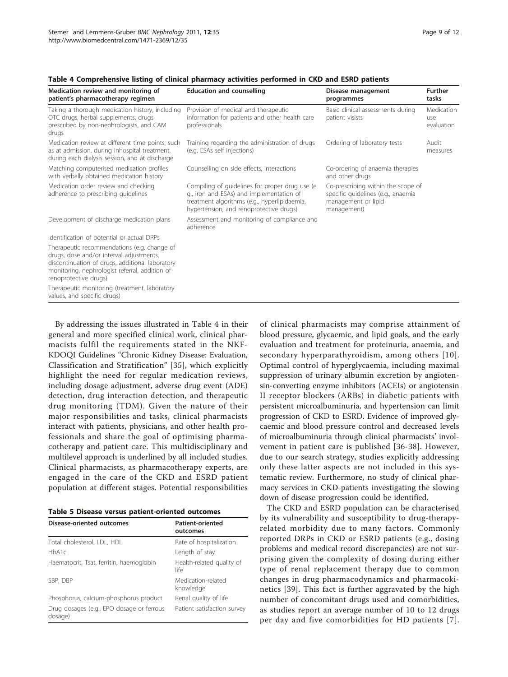| Medication review and monitoring of<br>patient's pharmacotherapy regimen                                                                                                                                              | <b>Education and counselling</b>                                                                                                                                                       | Disease management<br>programmes                                                                               | <b>Further</b><br>tasks         |
|-----------------------------------------------------------------------------------------------------------------------------------------------------------------------------------------------------------------------|----------------------------------------------------------------------------------------------------------------------------------------------------------------------------------------|----------------------------------------------------------------------------------------------------------------|---------------------------------|
| Taking a thorough medication history, including<br>OTC drugs, herbal supplements, drugs<br>prescribed by non-nephrologists, and CAM<br>drugs                                                                          | Provision of medical and therapeutic<br>information for patients and other health care<br>professionals                                                                                | Basic clinical assessments during<br>patient visists                                                           | Medication<br>use<br>evaluation |
| Medication review at different time points, such<br>as at admission, during inhospital treatment,<br>during each dialysis session, and at discharge                                                                   | Training regarding the administration of drugs<br>(e.g. ESAs self injections)                                                                                                          | Ordering of laboratory tests                                                                                   | Audit<br>measures               |
| Matching computerised medication profiles<br>with verbally obtained medication history                                                                                                                                | Counselling on side effects, interactions                                                                                                                                              | Co-ordering of anaemia therapies<br>and other drugs                                                            |                                 |
| Medication order review and checking<br>adherence to prescribing quidelines                                                                                                                                           | Compiling of guidelines for proper drug use (e.<br>g., iron and ESAs) and implementation of<br>treatment algorithms (e.g., hyperlipidaemia,<br>hypertension, and renoprotective drugs) | Co-prescribing within the scope of<br>specific quidelines (e.g., anaemia<br>management or lipid<br>management) |                                 |
| Development of discharge medication plans                                                                                                                                                                             | Assessment and monitoring of compliance and<br>adherence                                                                                                                               |                                                                                                                |                                 |
| Identification of potential or actual DRPs                                                                                                                                                                            |                                                                                                                                                                                        |                                                                                                                |                                 |
| Therapeutic recommendations (e.g. change of<br>drugs, dose and/or interval adjustments,<br>discontinuation of drugs, additional laboratory<br>monitoring, nephrologist referral, addition of<br>renoprotective drugs) |                                                                                                                                                                                        |                                                                                                                |                                 |
| Therapeutic monitoring (treatment, laboratory<br>values, and specific drugs)                                                                                                                                          |                                                                                                                                                                                        |                                                                                                                |                                 |

<span id="page-8-0"></span>Table 4 Comprehensive listing of clinical pharmacy activities performed in CKD and ESRD patients

By addressing the issues illustrated in Table 4 in their general and more specified clinical work, clinical pharmacists fulfil the requirements stated in the NKF-KDOQI Guidelines "Chronic Kidney Disease: Evaluation, Classification and Stratification" [[35\]](#page-11-0), which explicitly highlight the need for regular medication reviews, including dosage adjustment, adverse drug event (ADE) detection, drug interaction detection, and therapeutic drug monitoring (TDM). Given the nature of their major responsibilities and tasks, clinical pharmacists interact with patients, physicians, and other health professionals and share the goal of optimising pharmacotherapy and patient care. This multidisciplinary and multilevel approach is underlined by all included studies. Clinical pharmacists, as pharmacotherapy experts, are engaged in the care of the CKD and ESRD patient population at different stages. Potential responsibilities

|  |  |  |  | Table 5 Disease versus patient-oriented outcomes |  |
|--|--|--|--|--------------------------------------------------|--|
|--|--|--|--|--------------------------------------------------|--|

| Disease-oriented outcomes                            | Patient-oriented<br>outcomes      |
|------------------------------------------------------|-----------------------------------|
| Total cholesterol, LDL, HDL                          | Rate of hospitalization           |
| HbA1c                                                | Length of stay                    |
| Haematocrit, Tsat, ferritin, haemoglobin             | Health-related quality of<br>life |
| SBP, DBP                                             | Medication-related<br>knowledge   |
| Phosphorus, calcium-phosphorus product               | Renal quality of life             |
| Drug dosages (e.g., EPO dosage or ferrous<br>dosage) | Patient satisfaction survey       |

of clinical pharmacists may comprise attainment of blood pressure, glycaemic, and lipid goals, and the early evaluation and treatment for proteinuria, anaemia, and secondary hyperparathyroidism, among others [[10\]](#page-10-0). Optimal control of hyperglycaemia, including maximal suppression of urinary albumin excretion by angiotensin-converting enzyme inhibitors (ACEIs) or angiotensin II receptor blockers (ARBs) in diabetic patients with persistent microalbuminuria, and hypertension can limit progression of CKD to ESRD. Evidence of improved glycaemic and blood pressure control and decreased levels of microalbuminuria through clinical pharmacists' involvement in patient care is published [[36](#page-11-0)-[38](#page-11-0)]. However, due to our search strategy, studies explicitly addressing only these latter aspects are not included in this systematic review. Furthermore, no study of clinical pharmacy services in CKD patients investigating the slowing down of disease progression could be identified.

The CKD and ESRD population can be characterised by its vulnerability and susceptibility to drug-therapyrelated morbidity due to many factors. Commonly reported DRPs in CKD or ESRD patients (e.g., dosing problems and medical record discrepancies) are not surprising given the complexity of dosing during either type of renal replacement therapy due to common changes in drug pharmacodynamics and pharmacokinetics [\[39\]](#page-11-0). This fact is further aggravated by the high number of concomitant drugs used and comorbidities, as studies report an average number of 10 to 12 drugs per day and five comorbidities for HD patients [[7\]](#page-10-0).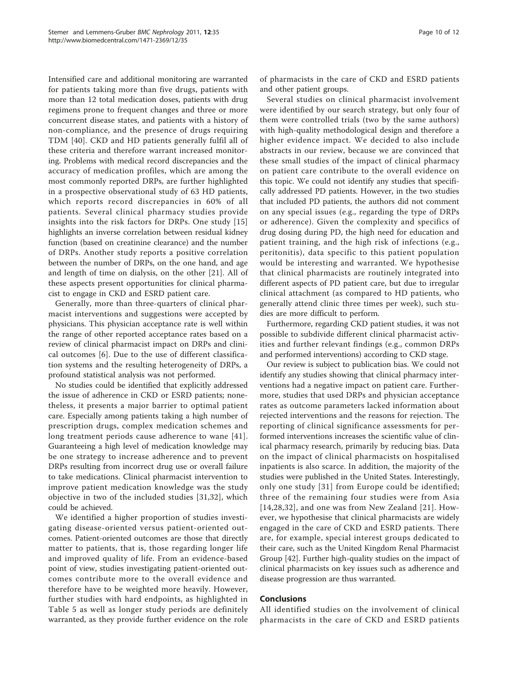Intensified care and additional monitoring are warranted for patients taking more than five drugs, patients with more than 12 total medication doses, patients with drug regimens prone to frequent changes and three or more concurrent disease states, and patients with a history of non-compliance, and the presence of drugs requiring TDM [[40\]](#page-11-0). CKD and HD patients generally fulfil all of these criteria and therefore warrant increased monitoring. Problems with medical record discrepancies and the accuracy of medication profiles, which are among the most commonly reported DRPs, are further highlighted in a prospective observational study of 63 HD patients, which reports record discrepancies in 60% of all patients. Several clinical pharmacy studies provide insights into the risk factors for DRPs. One study [\[15](#page-10-0)] highlights an inverse correlation between residual kidney function (based on creatinine clearance) and the number of DRPs. Another study reports a positive correlation between the number of DRPs, on the one hand, and age and length of time on dialysis, on the other [[21\]](#page-10-0). All of these aspects present opportunities for clinical pharmacist to engage in CKD and ESRD patient care.

Generally, more than three-quarters of clinical pharmacist interventions and suggestions were accepted by physicians. This physician acceptance rate is well within the range of other reported acceptance rates based on a review of clinical pharmacist impact on DRPs and clinical outcomes [[6\]](#page-10-0). Due to the use of different classification systems and the resulting heterogeneity of DRPs, a profound statistical analysis was not performed.

No studies could be identified that explicitly addressed the issue of adherence in CKD or ESRD patients; nonetheless, it presents a major barrier to optimal patient care. Especially among patients taking a high number of prescription drugs, complex medication schemes and long treatment periods cause adherence to wane [[41\]](#page-11-0). Guaranteeing a high level of medication knowledge may be one strategy to increase adherence and to prevent DRPs resulting from incorrect drug use or overall failure to take medications. Clinical pharmacist intervention to improve patient medication knowledge was the study objective in two of the included studies [[31,32](#page-11-0)], which could be achieved.

We identified a higher proportion of studies investigating disease-oriented versus patient-oriented outcomes. Patient-oriented outcomes are those that directly matter to patients, that is, those regarding longer life and improved quality of life. From an evidence-based point of view, studies investigating patient-oriented outcomes contribute more to the overall evidence and therefore have to be weighted more heavily. However, further studies with hard endpoints, as highlighted in Table [5](#page-8-0) as well as longer study periods are definitely warranted, as they provide further evidence on the role of pharmacists in the care of CKD and ESRD patients and other patient groups.

Several studies on clinical pharmacist involvement were identified by our search strategy, but only four of them were controlled trials (two by the same authors) with high-quality methodological design and therefore a higher evidence impact. We decided to also include abstracts in our review, because we are convinced that these small studies of the impact of clinical pharmacy on patient care contribute to the overall evidence on this topic. We could not identify any studies that specifically addressed PD patients. However, in the two studies that included PD patients, the authors did not comment on any special issues (e.g., regarding the type of DRPs or adherence). Given the complexity and specifics of drug dosing during PD, the high need for education and patient training, and the high risk of infections (e.g., peritonitis), data specific to this patient population would be interesting and warranted. We hypothesise that clinical pharmacists are routinely integrated into different aspects of PD patient care, but due to irregular clinical attachment (as compared to HD patients, who generally attend clinic three times per week), such studies are more difficult to perform.

Furthermore, regarding CKD patient studies, it was not possible to subdivide different clinical pharmacist activities and further relevant findings (e.g., common DRPs and performed interventions) according to CKD stage.

Our review is subject to publication bias. We could not identify any studies showing that clinical pharmacy interventions had a negative impact on patient care. Furthermore, studies that used DRPs and physician acceptance rates as outcome parameters lacked information about rejected interventions and the reasons for rejection. The reporting of clinical significance assessments for performed interventions increases the scientific value of clinical pharmacy research, primarily by reducing bias. Data on the impact of clinical pharmacists on hospitalised inpatients is also scarce. In addition, the majority of the studies were published in the United States. Interestingly, only one study [[31](#page-11-0)] from Europe could be identified; three of the remaining four studies were from Asia [[14](#page-10-0),[28](#page-10-0),[32\]](#page-11-0), and one was from New Zealand [[21\]](#page-10-0). However, we hypothesise that clinical pharmacists are widely engaged in the care of CKD and ESRD patients. There are, for example, special interest groups dedicated to their care, such as the United Kingdom Renal Pharmacist Group [\[42\]](#page-11-0). Further high-quality studies on the impact of clinical pharmacists on key issues such as adherence and disease progression are thus warranted.

# Conclusions

All identified studies on the involvement of clinical pharmacists in the care of CKD and ESRD patients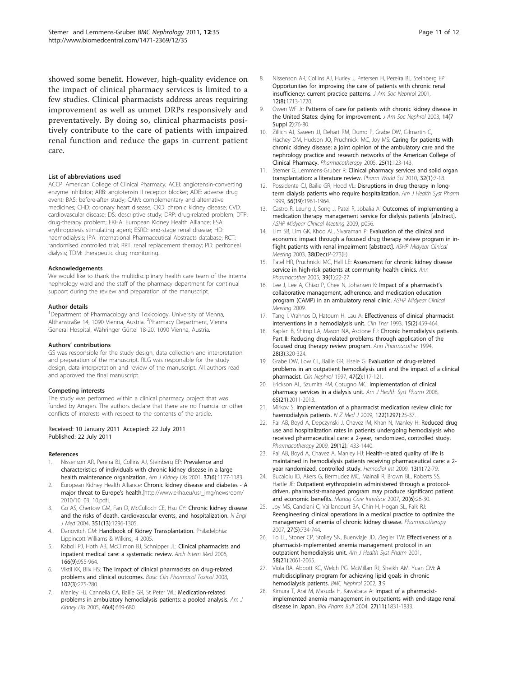<span id="page-10-0"></span>showed some benefit. However, high-quality evidence on the impact of clinical pharmacy services is limited to a few studies. Clinical pharmacists address areas requiring improvement as well as unmet DRPs responsively and preventatively. By doing so, clinical pharmacists positively contribute to the care of patients with impaired renal function and reduce the gaps in current patient care.

#### List of abbreviations used

ACCP: American College of Clinical Pharmacy; ACEI: angiotensin-converting enzyme inhibitor; ARB: angiotensin II receptor blocker; ADE: adverse drug event; BAS: before-after study; CAM: complementary and alternative medicines; CHD: coronary heart disease; CKD: chronic kidney disease; CVD: cardiovascular disease; DS: descriptive study; DRP: drug-related problem; DTP: drug-therapy problem; EKHA: European Kidney Health Alliance; ESA: erythropoiesis stimulating agent; ESRD: end-stage renal disease; HD: haemodialysis; IPA: International Pharmaceutical Abstracts database; RCT: randomised controlled trial; RRT: renal replacement therapy; PD: peritoneal dialysis; TDM: therapeutic drug monitoring.

#### Acknowledgements

We would like to thank the multidisciplinary health care team of the internal nephrology ward and the staff of the pharmacy department for continual support during the review and preparation of the manuscript.

#### Author details

<sup>1</sup>Department of Pharmacology and Toxicology, University of Vienna, Althanstraße 14, 1090 Vienna, Austria. <sup>2</sup>Pharmacy Department, Vienna General Hospital, Währinger Gürtel 18-20, 1090 Vienna, Austria.

#### Authors' contributions

GS was responsible for the study design, data collection and interpretation and preparation of the manuscript. RLG was responsible for the study design, data interpretation and review of the manuscript. All authors read and approved the final manuscript.

#### Competing interests

The study was performed within a clinical pharmacy project that was funded by Amgen. The authors declare that there are no financial or other conflicts of interests with respect to the contents of the article.

#### Received: 10 January 2011 Accepted: 22 July 2011 Published: 22 July 2011

#### References

- 1. Nissenson AR, Pereira BJ, Collins AJ, Steinberg EP: [Prevalence and](http://www.ncbi.nlm.nih.gov/pubmed/11382686?dopt=Abstract) [characteristics of individuals with chronic kidney disease in a large](http://www.ncbi.nlm.nih.gov/pubmed/11382686?dopt=Abstract) [health maintenance organization.](http://www.ncbi.nlm.nih.gov/pubmed/11382686?dopt=Abstract) Am J Kidney Dis 2001, 37(6):1177-1183.
- 2. European Kidney Health Alliance: Chronic kidney disease and diabetes A major threat to Europe's health.[\[http://www.ekha.eu/usr\\_img/newsroom/](http://www.ekha.eu/usr_img/newsroom/2010/10_03_10.pdf) [2010/10\\_03\\_10.pdf\]](http://www.ekha.eu/usr_img/newsroom/2010/10_03_10.pdf).
- 3. Go AS, Chertow GM, Fan D, McCulloch CE, Hsu CY: [Chronic kidney disease](http://www.ncbi.nlm.nih.gov/pubmed/15385656?dopt=Abstract) [and the risks of death, cardiovascular events, and hospitalization.](http://www.ncbi.nlm.nih.gov/pubmed/15385656?dopt=Abstract) N Engl J Med 2004, 351(13):1296-1305.
- 4. Danovitch GM: Handbook of Kidney Transplantation. Philadelphia: Lippincott Williams & Wilkins;, 4 2005.
- Kaboli PJ, Hoth AB, McClimon BJ, Schnipper JL: [Clinical pharmacists and](http://www.ncbi.nlm.nih.gov/pubmed/16682568?dopt=Abstract) [inpatient medical care: a systematic review.](http://www.ncbi.nlm.nih.gov/pubmed/16682568?dopt=Abstract) Arch Intern Med 2006, 166(9):955-964.
- 6. Viktil KK, Blix HS: [The impact of clinical pharmacists on drug-related](http://www.ncbi.nlm.nih.gov/pubmed/18248511?dopt=Abstract) [problems and clinical outcomes.](http://www.ncbi.nlm.nih.gov/pubmed/18248511?dopt=Abstract) Basic Clin Pharmacol Toxicol 2008, 102(3):275-280.
- 7. Manley HJ, Cannella CA, Bailie GR, St Peter WL: [Medication-related](http://www.ncbi.nlm.nih.gov/pubmed/16183422?dopt=Abstract) [problems in ambulatory hemodialysis patients: a pooled analysis.](http://www.ncbi.nlm.nih.gov/pubmed/16183422?dopt=Abstract) Am J Kidney Dis 2005, 46(4):669-680.
- 8. Nissenson AR, Collins AJ, Hurley J, Petersen H, Pereira BJ, Steinberg EP: [Opportunities for improving the care of patients with chronic renal](http://www.ncbi.nlm.nih.gov/pubmed/11461944?dopt=Abstract) [insufficiency: current practice patterns.](http://www.ncbi.nlm.nih.gov/pubmed/11461944?dopt=Abstract) J Am Soc Nephrol 2001, 12(8):1713-1720.
- 9. Owen WF Jr: [Patterns of care for patients with chronic kidney disease in](http://www.ncbi.nlm.nih.gov/pubmed/12506140?dopt=Abstract) [the United States: dying for improvement.](http://www.ncbi.nlm.nih.gov/pubmed/12506140?dopt=Abstract) J Am Soc Nephrol 2003, 14(7) Suppl 2):76-80.
- 10. Zillich AJ, Saseen JJ, Dehart RM, Dumo P, Grabe DW, Gilmartin C, Hachey DM, Hudson JQ, Pruchnicki MC, Joy MS: [Caring for patients with](http://www.ncbi.nlm.nih.gov/pubmed/15767229?dopt=Abstract) [chronic kidney disease: a joint opinion of the ambulatory care and the](http://www.ncbi.nlm.nih.gov/pubmed/15767229?dopt=Abstract) [nephrology practice and research networks of the American College of](http://www.ncbi.nlm.nih.gov/pubmed/15767229?dopt=Abstract) [Clinical Pharmacy.](http://www.ncbi.nlm.nih.gov/pubmed/15767229?dopt=Abstract) Pharmacotherapy 2005, 25(1):123-143.
- 11. Stemer G, Lemmens-Gruber R: [Clinical pharmacy services and solid organ](http://www.ncbi.nlm.nih.gov/pubmed/20012363?dopt=Abstract) [transplantation: a literature review.](http://www.ncbi.nlm.nih.gov/pubmed/20012363?dopt=Abstract) Pharm World Sci 2010, 32(1):7-18.
- 12. Possidente CJ, Bailie GR, Hood VL: [Disruptions in drug therapy in long](http://www.ncbi.nlm.nih.gov/pubmed/10554915?dopt=Abstract)[term dialysis patients who require hospitalization.](http://www.ncbi.nlm.nih.gov/pubmed/10554915?dopt=Abstract) Am J Health Syst Pharm 1999, 56(19):1961-1964.
- 13. Castro R, Leung J, Song J, Patel R, Jobalia A: Outcomes of implementing a medication therapy management service for dialysis patients [abstract]. ASHP Midyear Clinical Meeting 2009, p056.
- 14. Lim SB, Lim GK, Khoo AL, Sivaraman P: Evaluation of the clinical and economic impact through a focused drug therapy review program in inflight patients with renal impairment [abstract]. ASHP Midyear Clinical Meeting 2003, 38(Dec):P-273(E).
- 15. Patel HR, Pruchnicki MC, Hall LE: [Assessment for chronic kidney disease](http://www.ncbi.nlm.nih.gov/pubmed/15546945?dopt=Abstract) [service in high-risk patients at community health clinics.](http://www.ncbi.nlm.nih.gov/pubmed/15546945?dopt=Abstract) Ann Pharmacother 2005, 39(1):22-27.
- 16. Lee J, Lee A, Chiao P, Chee N, Johansen K: Impact of a pharmacist's collaborative management, adherence, and medication education program (CAMP) in an ambulatory renal clinic. ASHP Midyear Clinical Meeting 2009.
- 17. Tang I, Vrahnos D, Hatoum H, Lau A: [Effectiveness of clinical pharmacist](http://www.ncbi.nlm.nih.gov/pubmed/8519051?dopt=Abstract) [interventions in a hemodialysis unit.](http://www.ncbi.nlm.nih.gov/pubmed/8519051?dopt=Abstract) Clin Ther 1993, 15(2):459-464.
- 18. Kaplan B, Shimp LA, Mason NA, Ascione FJ: [Chronic hemodialysis patients.](http://www.ncbi.nlm.nih.gov/pubmed/8193417?dopt=Abstract) [Part II: Reducing drug-related problems through application of the](http://www.ncbi.nlm.nih.gov/pubmed/8193417?dopt=Abstract) [focused drug therapy review program.](http://www.ncbi.nlm.nih.gov/pubmed/8193417?dopt=Abstract) Ann Pharmacother 1994, 28(3):320-324.
- 19. Grabe DW, Low CL, Bailie GR, Eisele G: [Evaluation of drug-related](http://www.ncbi.nlm.nih.gov/pubmed/9049460?dopt=Abstract) [problems in an outpatient hemodialysis unit and the impact of a clinical](http://www.ncbi.nlm.nih.gov/pubmed/9049460?dopt=Abstract) [pharmacist.](http://www.ncbi.nlm.nih.gov/pubmed/9049460?dopt=Abstract) Clin Nephrol 1997, 47(2):117-121.
- 20. Erickson AL, Szumita PM, Cotugno MC: [Implementation of clinical](http://www.ncbi.nlm.nih.gov/pubmed/18945857?dopt=Abstract) [pharmacy services in a dialysis unit.](http://www.ncbi.nlm.nih.gov/pubmed/18945857?dopt=Abstract) Am J Health Syst Pharm 2008, 65(21):2011-2013.
- 21. Mirkov S: [Implementation of a pharmacist medication review clinic for](http://www.ncbi.nlm.nih.gov/pubmed/19829389?dopt=Abstract) [haemodialysis patients.](http://www.ncbi.nlm.nih.gov/pubmed/19829389?dopt=Abstract) N Z Med J 2009, 122(1297):25-37.
- 22. Pai AB, Boyd A, Depczynski J, Chavez IM, Khan N, Manley H: [Reduced drug](http://www.ncbi.nlm.nih.gov/pubmed/19947803?dopt=Abstract) [use and hospitalization rates in patients undergoing hemodialysis who](http://www.ncbi.nlm.nih.gov/pubmed/19947803?dopt=Abstract) [received pharmaceutical care: a 2-year, randomized, controlled study.](http://www.ncbi.nlm.nih.gov/pubmed/19947803?dopt=Abstract) Pharmacotherapy 2009, 29(12):1433-1440.
- 23. Pai AB, Boyd A, Chavez A, Manley HJ: [Health-related quality of life is](http://www.ncbi.nlm.nih.gov/pubmed/19210281?dopt=Abstract) [maintained in hemodialysis patients receiving pharmaceutical care: a 2](http://www.ncbi.nlm.nih.gov/pubmed/19210281?dopt=Abstract) [year randomized, controlled study.](http://www.ncbi.nlm.nih.gov/pubmed/19210281?dopt=Abstract) Hemodial Int 2009, 13(1):72-79.
- 24. Bucaloiu ID, Akers G, Bermudez MC, Mainali R, Brown BL, Roberts SS, Hartle JE: [Outpatient erythropoietin administered through a protocol](http://www.ncbi.nlm.nih.gov/pubmed/18405204?dopt=Abstract)[driven, pharmacist-managed program may produce significant patient](http://www.ncbi.nlm.nih.gov/pubmed/18405204?dopt=Abstract) [and economic benefits.](http://www.ncbi.nlm.nih.gov/pubmed/18405204?dopt=Abstract) Manag Care Interface 2007, 20(6):26-30.
- 25. Joy MS, Candiani C, Vaillancourt BA, Chin H, Hogan SL, Falk RJ: [Reengineering clinical operations in a medical practice to optimize the](http://www.ncbi.nlm.nih.gov/pubmed/17461709?dopt=Abstract) [management of anemia of chronic kidney disease.](http://www.ncbi.nlm.nih.gov/pubmed/17461709?dopt=Abstract) Pharmacotherapy 2007, 27(5):734-744.
- 26. To LL, Stoner CP, Stolley SN, Buenviaje JD, Ziegler TW: [Effectiveness of a](http://www.ncbi.nlm.nih.gov/pubmed/11715828?dopt=Abstract) [pharmacist-implemented anemia management protocol in an](http://www.ncbi.nlm.nih.gov/pubmed/11715828?dopt=Abstract) [outpatient hemodialysis unit.](http://www.ncbi.nlm.nih.gov/pubmed/11715828?dopt=Abstract) Am J Health Syst Pharm 2001, 58(21):2061-2065.
- 27. Viola RA, Abbott KC, Welch PG, McMillan RJ, Sheikh AM, Yuan CM: [A](http://www.ncbi.nlm.nih.gov/pubmed/12431277?dopt=Abstract) [multidisciplinary program for achieving lipid goals in chronic](http://www.ncbi.nlm.nih.gov/pubmed/12431277?dopt=Abstract) [hemodialysis patients.](http://www.ncbi.nlm.nih.gov/pubmed/12431277?dopt=Abstract) BMC Nephrol 2002, 3:9.
- Kimura T, Arai M, Masuda H, Kawabata A: [Impact of a pharmacist](http://www.ncbi.nlm.nih.gov/pubmed/15516732?dopt=Abstract)[implemented anemia management in outpatients with end-stage renal](http://www.ncbi.nlm.nih.gov/pubmed/15516732?dopt=Abstract) [disease in Japan.](http://www.ncbi.nlm.nih.gov/pubmed/15516732?dopt=Abstract) Biol Pharm Bull 2004, 27(11):1831-1833.